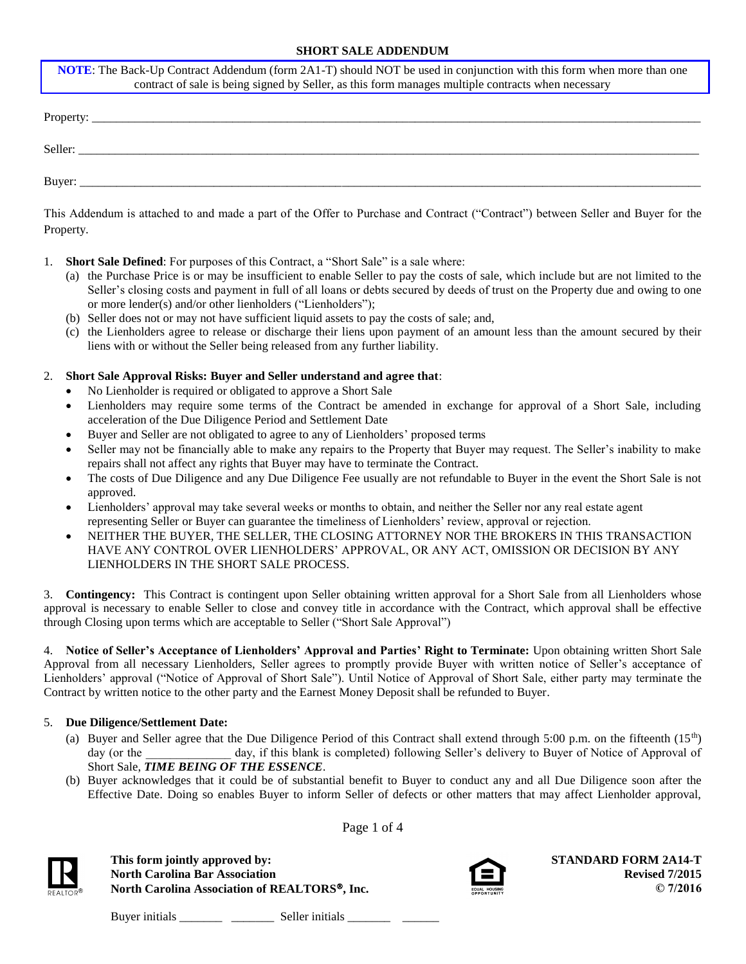## **SHORT SALE ADDENDUM**

| <b>NOTE:</b> The Back-Up Contract Addendum (form 2A1-T) should NOT be used in conjunction with this form when more than one<br>contract of sale is being signed by Seller, as this form manages multiple contracts when necessary |
|-----------------------------------------------------------------------------------------------------------------------------------------------------------------------------------------------------------------------------------|
|                                                                                                                                                                                                                                   |
|                                                                                                                                                                                                                                   |
|                                                                                                                                                                                                                                   |

This Addendum is attached to and made a part of the Offer to Purchase and Contract ("Contract") between Seller and Buyer for the Property.

- 1. **Short Sale Defined**: For purposes of this Contract, a "Short Sale" is a sale where:
	- (a) the Purchase Price is or may be insufficient to enable Seller to pay the costs of sale, which include but are not limited to the Seller's closing costs and payment in full of all loans or debts secured by deeds of trust on the Property due and owing to one or more lender(s) and/or other lienholders ("Lienholders");
	- (b) Seller does not or may not have sufficient liquid assets to pay the costs of sale; and,
	- (c) the Lienholders agree to release or discharge their liens upon payment of an amount less than the amount secured by their liens with or without the Seller being released from any further liability.

#### 2. **Short Sale Approval Risks: Buyer and Seller understand and agree that**:

- No Lienholder is required or obligated to approve a Short Sale
- Lienholders may require some terms of the Contract be amended in exchange for approval of a Short Sale, including acceleration of the Due Diligence Period and Settlement Date
- Buyer and Seller are not obligated to agree to any of Lienholders' proposed terms
- Seller may not be financially able to make any repairs to the Property that Buyer may request. The Seller's inability to make repairs shall not affect any rights that Buyer may have to terminate the Contract.
- The costs of Due Diligence and any Due Diligence Fee usually are not refundable to Buyer in the event the Short Sale is not approved.
- Lienholders' approval may take several weeks or months to obtain, and neither the Seller nor any real estate agent representing Seller or Buyer can guarantee the timeliness of Lienholders' review, approval or rejection.
- NEITHER THE BUYER, THE SELLER, THE CLOSING ATTORNEY NOR THE BROKERS IN THIS TRANSACTION HAVE ANY CONTROL OVER LIENHOLDERS' APPROVAL, OR ANY ACT, OMISSION OR DECISION BY ANY LIENHOLDERS IN THE SHORT SALE PROCESS.

3. **Contingency:** This Contract is contingent upon Seller obtaining written approval for a Short Sale from all Lienholders whose approval is necessary to enable Seller to close and convey title in accordance with the Contract, which approval shall be effective through Closing upon terms which are acceptable to Seller ("Short Sale Approval")

4. **Notice of Seller's Acceptance of Lienholders' Approval and Parties' Right to Terminate:** Upon obtaining written Short Sale Approval from all necessary Lienholders, Seller agrees to promptly provide Buyer with written notice of Seller's acceptance of Lienholders' approval ("Notice of Approval of Short Sale"). Until Notice of Approval of Short Sale, either party may terminate the Contract by written notice to the other party and the Earnest Money Deposit shall be refunded to Buyer.

## 5. **Due Diligence/Settlement Date:**

- (a) Buyer and Seller agree that the Due Diligence Period of this Contract shall extend through 5:00 p.m. on the fifteenth  $(15<sup>th</sup>)$ day (or the day, if this blank is completed) following Seller's delivery to Buyer of Notice of Approval of Short Sale, *TIME BEING OF THE ESSENCE*.
- (b) Buyer acknowledges that it could be of substantial benefit to Buyer to conduct any and all Due Diligence soon after the Effective Date. Doing so enables Buyer to inform Seller of defects or other matters that may affect Lienholder approval,

Page 1 of 4

**This form jointly approved by: North Carolina Bar Association North Carolina Association of REALTORS, Inc.**



**STANDARD FORM 2A14-T Revised 7/2015 © 7/2016**

Buyer initials \_\_\_\_\_\_\_ \_\_\_\_\_\_\_ Seller initials \_\_\_\_\_\_\_ \_\_\_\_\_\_

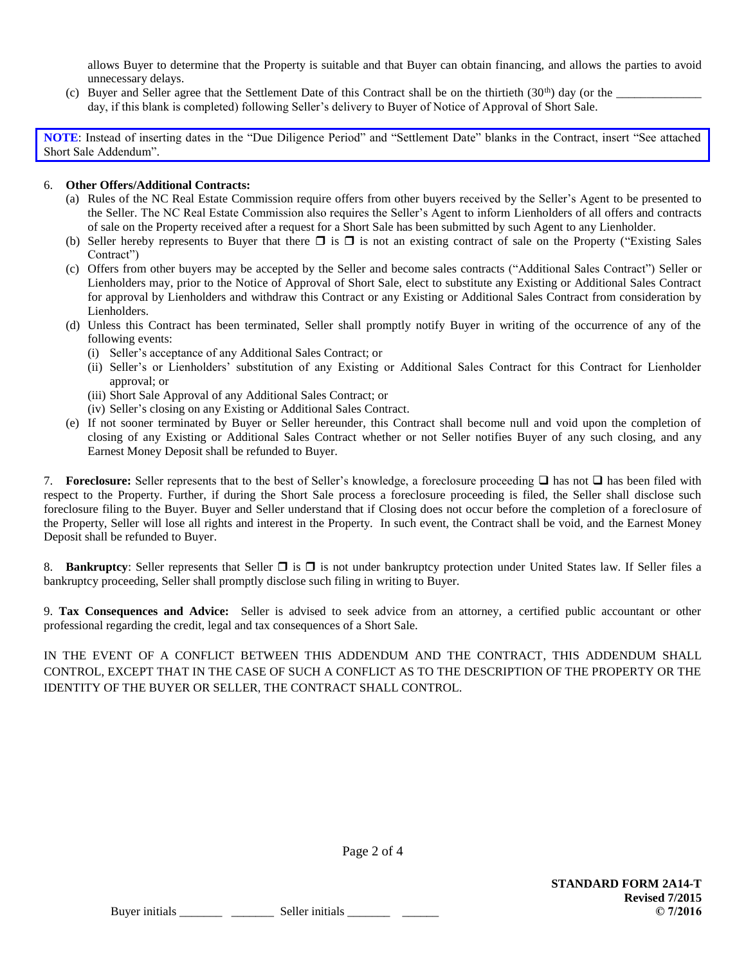allows Buyer to determine that the Property is suitable and that Buyer can obtain financing, and allows the parties to avoid unnecessary delays.

- (c) Buyer and Seller agree that the Settlement Date of this Contract shall be on the thirtieth  $(30<sup>th</sup>)$  day (or the
	- day, if this blank is completed) following Seller's delivery to Buyer of Notice of Approval of Short Sale.

**NOTE**: Instead of inserting dates in the "Due Diligence Period" and "Settlement Date" blanks in the Contract, insert "See attached Short Sale Addendum".

## 6. **Other Offers/Additional Contracts:**

- (a) Rules of the NC Real Estate Commission require offers from other buyers received by the Seller's Agent to be presented to the Seller. The NC Real Estate Commission also requires the Seller's Agent to inform Lienholders of all offers and contracts of sale on the Property received after a request for a Short Sale has been submitted by such Agent to any Lienholder.
- (b) Seller hereby represents to Buyer that there  $\square$  is  $\square$  is not an existing contract of sale on the Property ("Existing Sales") Contract")
- (c) Offers from other buyers may be accepted by the Seller and become sales contracts ("Additional Sales Contract") Seller or Lienholders may, prior to the Notice of Approval of Short Sale, elect to substitute any Existing or Additional Sales Contract for approval by Lienholders and withdraw this Contract or any Existing or Additional Sales Contract from consideration by Lienholders.
- (d) Unless this Contract has been terminated, Seller shall promptly notify Buyer in writing of the occurrence of any of the following events:
	- (i) Seller's acceptance of any Additional Sales Contract; or
	- (ii) Seller's or Lienholders' substitution of any Existing or Additional Sales Contract for this Contract for Lienholder approval; or
	- (iii) Short Sale Approval of any Additional Sales Contract; or
	- (iv) Seller's closing on any Existing or Additional Sales Contract.
- (e) If not sooner terminated by Buyer or Seller hereunder, this Contract shall become null and void upon the completion of closing of any Existing or Additional Sales Contract whether or not Seller notifies Buyer of any such closing, and any Earnest Money Deposit shall be refunded to Buyer.

7. **Foreclosure:** Seller represents that to the best of Seller's knowledge, a foreclosure proceeding  $\Box$  has not  $\Box$  has been filed with respect to the Property. Further, if during the Short Sale process a foreclosure proceeding is filed, the Seller shall disclose such foreclosure filing to the Buyer. Buyer and Seller understand that if Closing does not occur before the completion of a foreclosure of the Property, Seller will lose all rights and interest in the Property. In such event, the Contract shall be void, and the Earnest Money Deposit shall be refunded to Buyer.

8. **Bankruptcy**: Seller represents that Seller  $\Box$  is  $\Box$  is not under bankruptcy protection under United States law. If Seller files a bankruptcy proceeding, Seller shall promptly disclose such filing in writing to Buyer.

9. **Tax Consequences and Advice:** Seller is advised to seek advice from an attorney, a certified public accountant or other professional regarding the credit, legal and tax consequences of a Short Sale.

IN THE EVENT OF A CONFLICT BETWEEN THIS ADDENDUM AND THE CONTRACT, THIS ADDENDUM SHALL CONTROL, EXCEPT THAT IN THE CASE OF SUCH A CONFLICT AS TO THE DESCRIPTION OF THE PROPERTY OR THE IDENTITY OF THE BUYER OR SELLER, THE CONTRACT SHALL CONTROL.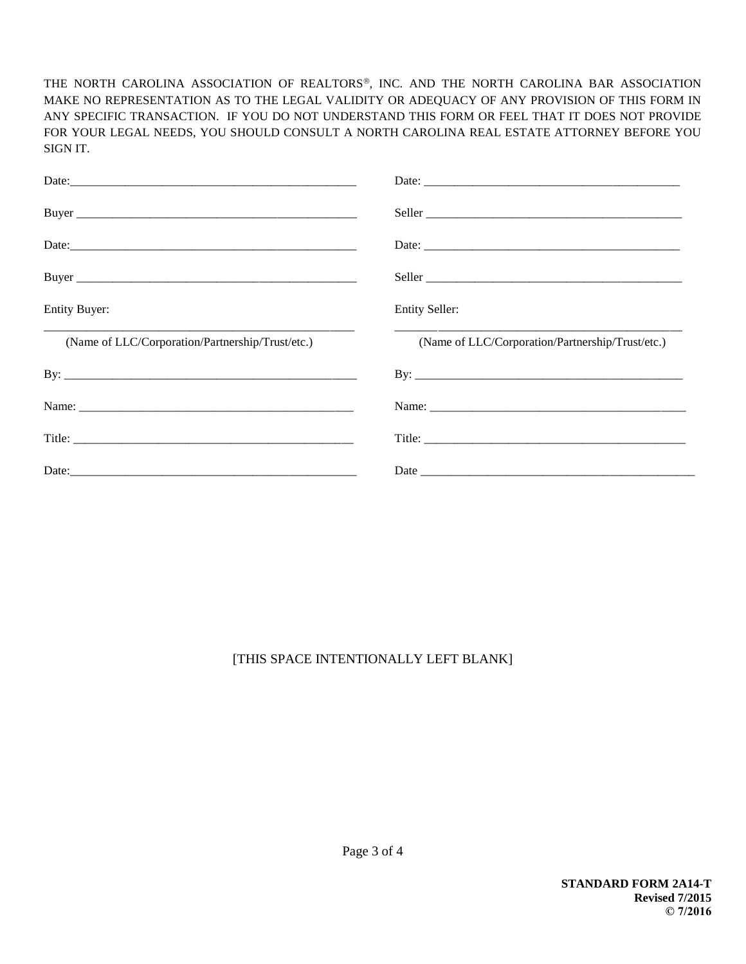THE NORTH CAROLINA ASSOCIATION OF REALTORS®, INC. AND THE NORTH CAROLINA BAR ASSOCIATION MAKE NO REPRESENTATION AS TO THE LEGAL VALIDITY OR ADEQUACY OF ANY PROVISION OF THIS FORM IN ANY SPECIFIC TRANSACTION. IF YOU DO NOT UNDERSTAND THIS FORM OR FEEL THAT IT DOES NOT PROVIDE FOR YOUR LEGAL NEEDS, YOU SHOULD CONSULT A NORTH CAROLINA REAL ESTATE ATTORNEY BEFORE YOU SIGN IT.

| <b>Entity Buyer:</b>                             | <b>Entity Seller:</b>                            |
|--------------------------------------------------|--------------------------------------------------|
|                                                  |                                                  |
| (Name of LLC/Corporation/Partnership/Trust/etc.) | (Name of LLC/Corporation/Partnership/Trust/etc.) |
|                                                  |                                                  |
|                                                  |                                                  |
|                                                  |                                                  |

# [THIS SPACE INTENTIONALLY LEFT BLANK]